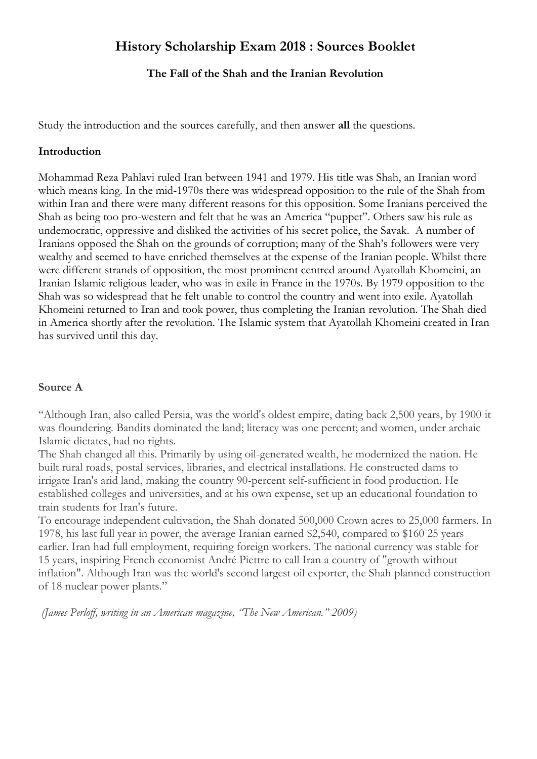# **History Scholarship Exam 2018 : Sources Booklet**

## **The Fall of the Shah and the Iranian Revolution**

Study the introduction and the sources carefully, and then answer **all** the questions.

#### **Introduction**

Mohammad Reza Pahlavi ruled Iran between 1941 and 1979. His title was Shah, an Iranian word which means king. In the mid-1970s there was widespread opposition to the rule of the Shah from within Iran and there were many different reasons for this opposition. Some Iranians perceived the Shah as being too pro-western and felt that he was an America "puppet". Others saw his rule as undemocratic, oppressive and disliked the activities of his secret police, the Savak. A number of Iranians opposed the Shah on the grounds of corruption; many of the Shah's followers were very wealthy and seemed to have enriched themselves at the expense of the Iranian people. Whilst there were different strands of opposition, the most prominent centred around Ayatollah Khomeini, an Iranian Islamic religious leader, who was in exile in France in the 1970s. By 1979 opposition to the Shah was so widespread that he felt unable to control the country and went into exile. Ayatollah Khomeini returned to Iran and took power, thus completing the Iranian revolution. The Shah died in America shortly after the revolution. The Islamic system that Ayatollah Khomeini created in Iran has survived until this day.

#### **Source A**

"Although Iran, also called Persia, was the world's oldest empire, dating back 2,500 years, by 1900 it was floundering. Bandits dominated the land; literacy was one percent; and women, under archaic Islamic dictates, had no rights.

The Shah changed all this. Primarily by using oil-generated wealth, he modernized the nation. He built rural roads, postal services, libraries, and electrical installations. He constructed dams to irrigate Iran's arid land, making the country 90-percent self-sufficient in food production. He established colleges and universities, and at his own expense, set up an educational foundation to train students for Iran's future.

To encourage independent cultivation, the Shah donated 500,000 Crown acres to 25,000 farmers. In 1978, his last full year in power, the average Iranian earned \$2,540, compared to \$160 25 years earlier. Iran had full employment, requiring foreign workers. The national currency was stable for 15 years, inspiring French economist André Piettre to call Iran a country of "growth without inflation". Although Iran was the world's second largest oil exporter, the Shah planned construction of 18 nuclear power plants."

*(James Perloff, writing in an American magazine, "The New American." 2009)*